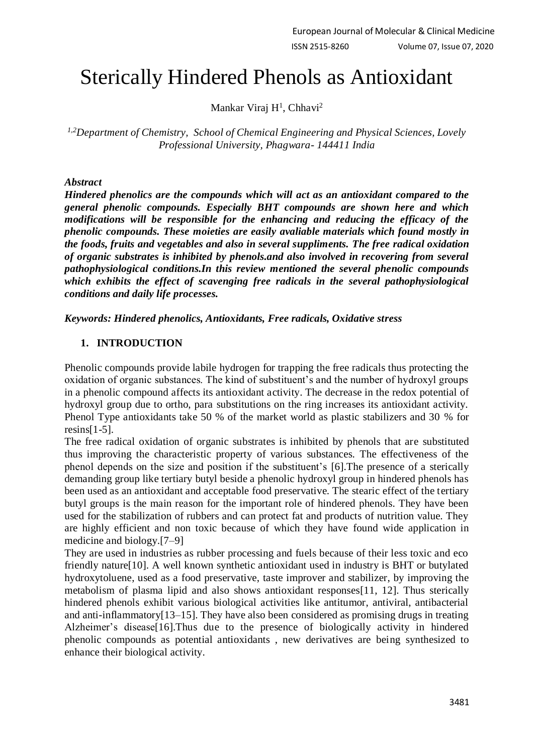# Sterically Hindered Phenols as Antioxidant

Mankar Viraj H<sup>1</sup>, Chhavi<sup>2</sup>

*1,2Department of Chemistry, School of Chemical Engineering and Physical Sciences, Lovely Professional University, Phagwara- 144411 India*

#### *Abstract*

*Hindered phenolics are the compounds which will act as an antioxidant compared to the general phenolic compounds. Especially BHT compounds are shown here and which modifications will be responsible for the enhancing and reducing the efficacy of the phenolic compounds. These moieties are easily avaliable materials which found mostly in the foods, fruits and vegetables and also in several suppliments. The free radical oxidation of organic substrates is inhibited by phenols.and also involved in recovering from several pathophysiological conditions.In this review mentioned the several phenolic compounds which exhibits the effect of scavenging free radicals in the several pathophysiological conditions and daily life processes.* 

*Keywords: Hindered phenolics, Antioxidants, Free radicals, Oxidative stress*

#### **1. INTRODUCTION**

Phenolic compounds provide labile hydrogen for trapping the free radicals thus protecting the oxidation of organic substances. The kind of substituent's and the number of hydroxyl groups in a phenolic compound affects its antioxidant activity. The decrease in the redox potential of hydroxyl group due to ortho, para substitutions on the ring increases its antioxidant activity. Phenol Type antioxidants take 50 % of the market world as plastic stabilizers and 30 % for resins $[1-5]$ .

The free radical oxidation of organic substrates is inhibited by phenols that are substituted thus improving the characteristic property of various substances. The effectiveness of the phenol depends on the size and position if the substituent's [6].The presence of a sterically demanding group like tertiary butyl beside a phenolic hydroxyl group in hindered phenols has been used as an antioxidant and acceptable food preservative. The stearic effect of the tertiary butyl groups is the main reason for the important role of hindered phenols. They have been used for the stabilization of rubbers and can protect fat and products of nutrition value. They are highly efficient and non toxic because of which they have found wide application in medicine and biology.[7–9]

They are used in industries as rubber processing and fuels because of their less toxic and eco friendly nature[10]. A well known synthetic antioxidant used in industry is BHT or butylated hydroxytoluene, used as a food preservative, taste improver and stabilizer, by improving the metabolism of plasma lipid and also shows antioxidant responses[11, 12]. Thus sterically hindered phenols exhibit various biological activities like antitumor, antiviral, antibacterial and anti-inflammatory[13–15]. They have also been considered as promising drugs in treating Alzheimer's disease[16].Thus due to the presence of biologically activity in hindered phenolic compounds as potential antioxidants , new derivatives are being synthesized to enhance their biological activity.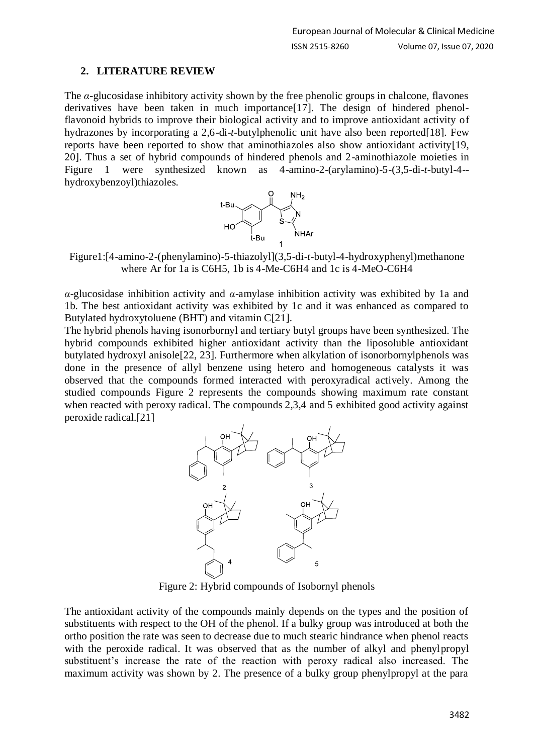## **2. LITERATURE REVIEW**

The *α*-glucosidase inhibitory activity shown by the free phenolic groups in chalcone, flavones derivatives have been taken in much importance[17]. The design of hindered phenolflavonoid hybrids to improve their biological activity and to improve antioxidant activity of hydrazones by incorporating a 2,6-di-*t*-butylphenolic unit have also been reported[18]. Few reports have been reported to show that aminothiazoles also show antioxidant activity[19, 20]. Thus a set of hybrid compounds of hindered phenols and 2-aminothiazole moieties in Figure 1 were synthesized known as 4-amino-2-(arylamino)-5-(3,5-di-*t*-butyl-4- hydroxybenzoyl)thiazoles.



Figure1:[4-amino-2-(phenylamino)-5-thiazolyl](3,5-di-*t*-butyl-4-hydroxyphenyl)methanone where Ar for 1a is C6H5, 1b is 4-Me-C6H4 and 1c is 4-MeO-C6H4

*α*-glucosidase inhibition activity and *α*-amylase inhibition activity was exhibited by 1a and 1b. The best antioxidant activity was exhibited by 1c and it was enhanced as compared to Butylated hydroxytoluene (BHT) and vitamin C[21].

The hybrid phenols having isonorbornyl and tertiary butyl groups have been synthesized. The hybrid compounds exhibited higher antioxidant activity than the liposoluble antioxidant butylated hydroxyl anisole[22, 23]. Furthermore when alkylation of isonorbornylphenols was done in the presence of allyl benzene using hetero and homogeneous catalysts it was observed that the compounds formed interacted with peroxyradical actively. Among the studied compounds Figure 2 represents the compounds showing maximum rate constant when reacted with peroxy radical. The compounds 2,3,4 and 5 exhibited good activity against peroxide radical.[21]



Figure 2: Hybrid compounds of Isobornyl phenols

The antioxidant activity of the compounds mainly depends on the types and the position of substituents with respect to the OH of the phenol. If a bulky group was introduced at both the ortho position the rate was seen to decrease due to much stearic hindrance when phenol reacts with the peroxide radical. It was observed that as the number of alkyl and phenylpropyl substituent's increase the rate of the reaction with peroxy radical also increased. The maximum activity was shown by 2. The presence of a bulky group phenylpropyl at the para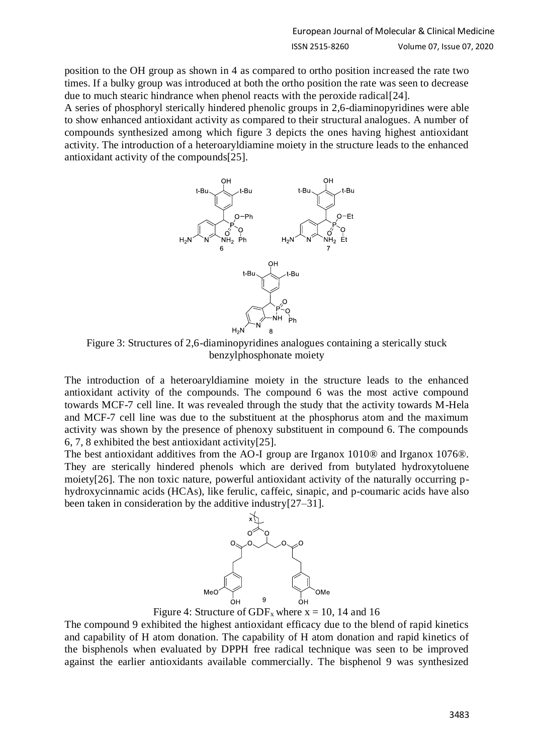position to the OH group as shown in 4 as compared to ortho position increased the rate two times. If a bulky group was introduced at both the ortho position the rate was seen to decrease due to much stearic hindrance when phenol reacts with the peroxide radical[24].

A series of phosphoryl sterically hindered phenolic groups in 2,6-diaminopyridines were able to show enhanced antioxidant activity as compared to their structural analogues. A number of compounds synthesized among which figure 3 depicts the ones having highest antioxidant activity. The introduction of a heteroaryldiamine moiety in the structure leads to the enhanced antioxidant activity of the compounds[25].



Figure 3: Structures of 2,6-diaminopyridines analogues containing a sterically stuck benzylphosphonate moiety

The introduction of a heteroaryldiamine moiety in the structure leads to the enhanced antioxidant activity of the compounds. The compound 6 was the most active compound towards MCF-7 cell line. It was revealed through the study that the activity towards M-Hela and MCF-7 cell line was due to the substituent at the phosphorus atom and the maximum activity was shown by the presence of phenoxy substituent in compound 6. The compounds 6, 7, 8 exhibited the best antioxidant activity[25].

The best antioxidant additives from the AO-I group are Irganox 1010® and Irganox 1076®. They are sterically hindered phenols which are derived from butylated hydroxytoluene moiety[26]. The non toxic nature, powerful antioxidant activity of the naturally occurring phydroxycinnamic acids (HCAs), like ferulic, caffeic, sinapic, and p-coumaric acids have also been taken in consideration by the additive industry[27–31].



Figure 4: Structure of GDF<sub>x</sub> where  $x = 10$ , 14 and 16

The compound 9 exhibited the highest antioxidant efficacy due to the blend of rapid kinetics and capability of H atom donation. The capability of H atom donation and rapid kinetics of the bisphenols when evaluated by DPPH free radical technique was seen to be improved against the earlier antioxidants available commercially. The bisphenol 9 was synthesized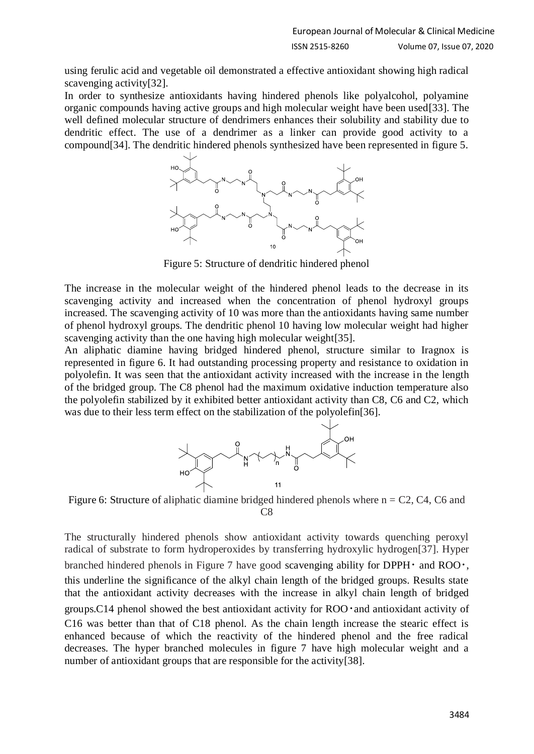using ferulic acid and vegetable oil demonstrated a effective antioxidant showing high radical scavenging activity[32].

In order to synthesize antioxidants having hindered phenols like polyalcohol, polyamine organic compounds having active groups and high molecular weight have been used[33]. The well defined molecular structure of dendrimers enhances their solubility and stability due to dendritic effect. The use of a dendrimer as a linker can provide good activity to a compound[34]. The dendritic hindered phenols synthesized have been represented in figure 5.



Figure 5: Structure of dendritic hindered phenol

The increase in the molecular weight of the hindered phenol leads to the decrease in its scavenging activity and increased when the concentration of phenol hydroxyl groups increased. The scavenging activity of 10 was more than the antioxidants having same number of phenol hydroxyl groups. The dendritic phenol 10 having low molecular weight had higher scavenging activity than the one having high molecular weight[35].

An aliphatic diamine having bridged hindered phenol, structure similar to Iragnox is represented in figure 6. It had outstanding processing property and resistance to oxidation in polyolefin. It was seen that the antioxidant activity increased with the increase in the length of the bridged group. The C8 phenol had the maximum oxidative induction temperature also the polyolefin stabilized by it exhibited better antioxidant activity than C8, C6 and C2, which was due to their less term effect on the stabilization of the polyolefin[36].



Figure 6: Structure of aliphatic diamine bridged hindered phenols where  $n = C2$ , C4, C6 and C8

The structurally hindered phenols show antioxidant activity towards quenching peroxyl radical of substrate to form hydroperoxides by transferring hydroxylic hydrogen[37]. Hyper branched hindered phenols in Figure 7 have good scavenging ability for DPPH $\cdot$  and ROO $\cdot$ , this underline the significance of the alkyl chain length of the bridged groups. Results state that the antioxidant activity decreases with the increase in alkyl chain length of bridged groups.C14 phenol showed the best antioxidant activity for ROO・and antioxidant activity of C16 was better than that of C18 phenol. As the chain length increase the stearic effect is enhanced because of which the reactivity of the hindered phenol and the free radical decreases. The hyper branched molecules in figure 7 have high molecular weight and a number of antioxidant groups that are responsible for the activity[38].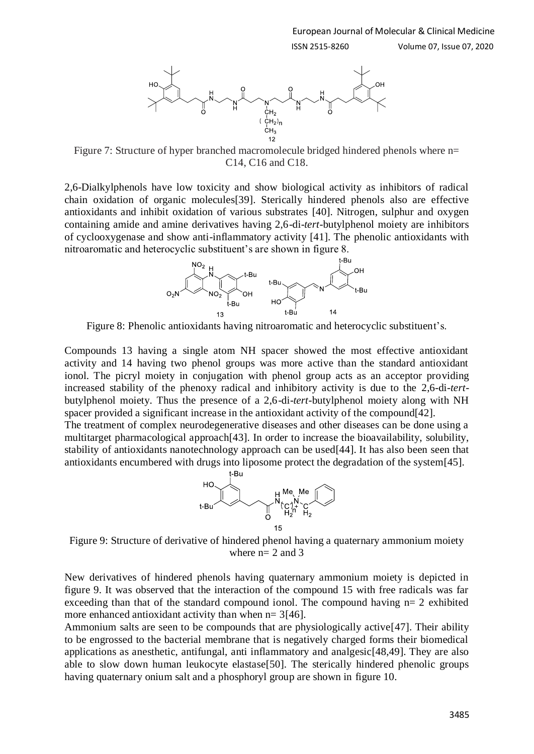



Figure 7: Structure of hyper branched macromolecule bridged hindered phenols where n= C14, C16 and C18.

2,6-Dialkylphenols have low toxicity and show biological activity as inhibitors of radical chain oxidation of organic molecules[39]. Sterically hindered phenols also are effective antioxidants and inhibit oxidation of various substrates [40]. Nitrogen, sulphur and oxygen containing amide and amine derivatives having 2,6-di-*tert*-butylphenol moiety are inhibitors of cyclooxygenase and show anti-inflammatory activity [41]. The phenolic antioxidants with nitroaromatic and heterocyclic substituent's are shown in figure 8.



Figure 8: Phenolic antioxidants having nitroaromatic and heterocyclic substituent's.

Compounds 13 having a single atom NH spacer showed the most effective antioxidant activity and 14 having two phenol groups was more active than the standard antioxidant ionol. The picryl moiety in conjugation with phenol group acts as an acceptor providing increased stability of the phenoxy radical and inhibitory activity is due to the 2,6-di-*tert*butylphenol moiety. Thus the presence of a 2,6-di-*tert*-butylphenol moiety along with NH spacer provided a significant increase in the antioxidant activity of the compound[42].

The treatment of complex neurodegenerative diseases and other diseases can be done using a multitarget pharmacological approach[43]. In order to increase the bioavailability, solubility, stability of antioxidants nanotechnology approach can be used[44]. It has also been seen that antioxidants encumbered with drugs into liposome protect the degradation of the system[45].



Figure 9: Structure of derivative of hindered phenol having a quaternary ammonium moiety where  $n= 2$  and 3

New derivatives of hindered phenols having quaternary ammonium moiety is depicted in figure 9. It was observed that the interaction of the compound 15 with free radicals was far exceeding than that of the standard compound ionol. The compound having  $n=2$  exhibited more enhanced antioxidant activity than when  $n= 3[46]$ .

Ammonium salts are seen to be compounds that are physiologically active[47]. Their ability to be engrossed to the bacterial membrane that is negatively charged forms their biomedical applications as anesthetic, antifungal, anti inflammatory and analgesic[48,49]. They are also able to slow down human leukocyte elastase[50]. The sterically hindered phenolic groups having quaternary onium salt and a phosphoryl group are shown in figure 10.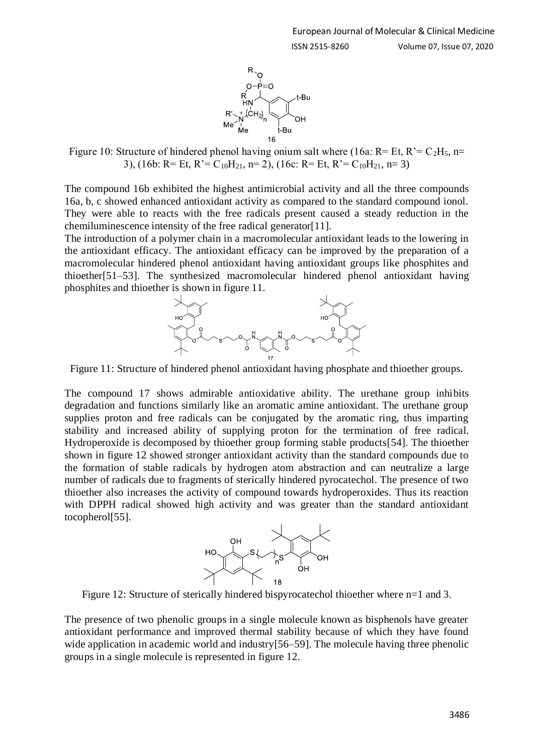

Figure 10: Structure of hindered phenol having onium salt where (16a: R= Et, R'=  $C_2H_5$ , n= 3), (16b: R= Et, R'= C<sub>10</sub>H<sub>21</sub>, n= 2), (16c: R= Et, R'= C<sub>10</sub>H<sub>21</sub>, n= 3)

The compound 16b exhibited the highest antimicrobial activity and all the three compounds 16a, b, c showed enhanced antioxidant activity as compared to the standard compound ionol. They were able to reacts with the free radicals present caused a steady reduction in the chemiluminescence intensity of the free radical generator [11].

The introduction of a polymer chain in a macromolecular antioxidant leads to the lowering in the antioxidant efficacy. The antioxidant efficacy can be improved by the preparation of a macromolecular hindered phenol antioxidant having antioxidant groups like phosphites and thioether[51–53]. The synthesized macromolecular hindered phenol antioxidant having phosphites and thioether is shown in figure 11.



Figure 11: Structure of hindered phenol antioxidant having phosphate and thioether groups.

The compound 17 shows admirable antioxidative ability. The urethane group inhibits degradation and functions similarly like an aromatic amine antioxidant. The urethane group supplies proton and free radicals can be conjugated by the aromatic ring, thus imparting stability and increased ability of supplying proton for the termination of free radical. Hydroperoxide is decomposed by thioether group forming stable products[54]. The thioether shown in figure 12 showed stronger antioxidant activity than the standard compounds due to the formation of stable radicals by hydrogen atom abstraction and can neutralize a large number of radicals due to fragments of sterically hindered pyrocatechol. The presence of two thioether also increases the activity of compound towards hydroperoxides. Thus its reaction with DPPH radical showed high activity and was greater than the standard antioxidant tocopherol[55].



Figure 12: Structure of sterically hindered bispyrocatechol thioether where n=1 and 3.

The presence of two phenolic groups in a single molecule known as bisphenols have greater antioxidant performance and improved thermal stability because of which they have found wide application in academic world and industry [56–59]. The molecule having three phenolic groups in a single molecule is represented in figure 12.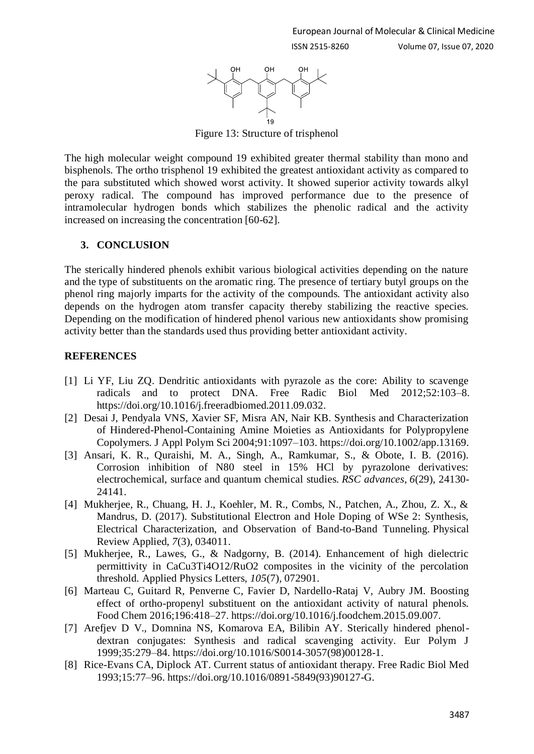

Figure 13: Structure of trisphenol

The high molecular weight compound 19 exhibited greater thermal stability than mono and bisphenols. The ortho trisphenol 19 exhibited the greatest antioxidant activity as compared to the para substituted which showed worst activity. It showed superior activity towards alkyl peroxy radical. The compound has improved performance due to the presence of intramolecular hydrogen bonds which stabilizes the phenolic radical and the activity increased on increasing the concentration [60-62].

## **3. CONCLUSION**

The sterically hindered phenols exhibit various biological activities depending on the nature and the type of substituents on the aromatic ring. The presence of tertiary butyl groups on the phenol ring majorly imparts for the activity of the compounds. The antioxidant activity also depends on the hydrogen atom transfer capacity thereby stabilizing the reactive species. Depending on the modification of hindered phenol various new antioxidants show promising activity better than the standards used thus providing better antioxidant activity.

## **REFERENCES**

- [1] Li YF, Liu ZQ. Dendritic antioxidants with pyrazole as the core: Ability to scavenge radicals and to protect DNA. Free Radic Biol Med 2012;52:103–8. https://doi.org/10.1016/j.freeradbiomed.2011.09.032.
- [2] Desai J, Pendyala VNS, Xavier SF, Misra AN, Nair KB. Synthesis and Characterization of Hindered-Phenol-Containing Amine Moieties as Antioxidants for Polypropylene Copolymers. J Appl Polym Sci 2004;91:1097–103. https://doi.org/10.1002/app.13169.
- [3] Ansari, K. R., Quraishi, M. A., Singh, A., Ramkumar, S., & Obote, I. B. (2016). Corrosion inhibition of N80 steel in 15% HCl by pyrazolone derivatives: electrochemical, surface and quantum chemical studies. *RSC advances*, *6*(29), 24130- 24141.
- [4] Mukherjee, R., Chuang, H. J., Koehler, M. R., Combs, N., Patchen, A., Zhou, Z. X., & Mandrus, D. (2017). Substitutional Electron and Hole Doping of WSe 2: Synthesis, Electrical Characterization, and Observation of Band-to-Band Tunneling. Physical Review Applied, *7*(3), 034011.
- [5] Mukherjee, R., Lawes, G., & Nadgorny, B. (2014). Enhancement of high dielectric permittivity in CaCu3Ti4O12/RuO2 composites in the vicinity of the percolation threshold. Applied Physics Letters, *105*(7), 072901.
- [6] Marteau C, Guitard R, Penverne C, Favier D, Nardello-Rataj V, Aubry JM. Boosting effect of ortho-propenyl substituent on the antioxidant activity of natural phenols. Food Chem 2016;196:418–27. https://doi.org/10.1016/j.foodchem.2015.09.007.
- [7] Arefjev D V., Domnina NS, Komarova EA, Bilibin AY. Sterically hindered phenoldextran conjugates: Synthesis and radical scavenging activity. Eur Polym J 1999;35:279–84. https://doi.org/10.1016/S0014-3057(98)00128-1.
- [8] Rice-Evans CA, Diplock AT. Current status of antioxidant therapy. Free Radic Biol Med 1993;15:77–96. https://doi.org/10.1016/0891-5849(93)90127-G.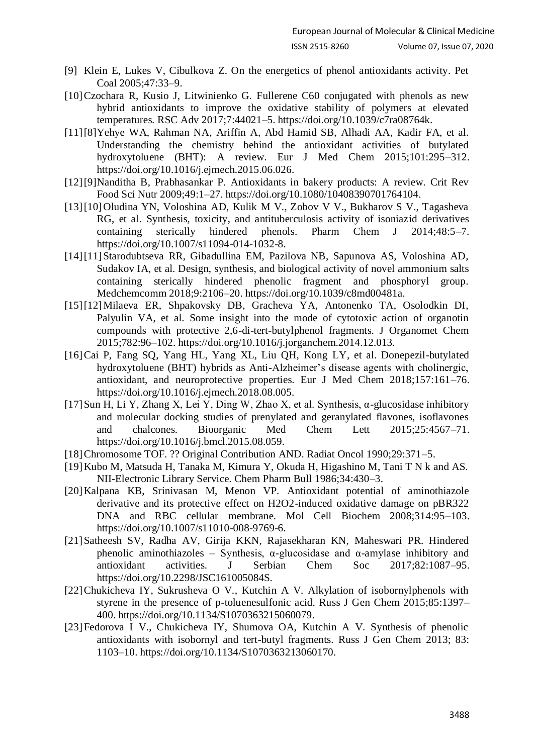- [9] Klein E, Lukes V, Cibulkova Z. On the energetics of phenol antioxidants activity. Pet Coal 2005;47:33–9.
- [10]Czochara R, Kusio J, Litwinienko G. Fullerene C60 conjugated with phenols as new hybrid antioxidants to improve the oxidative stability of polymers at elevated temperatures. RSC Adv 2017;7:44021–5. https://doi.org/10.1039/c7ra08764k.
- [11][8]Yehye WA, Rahman NA, Ariffin A, Abd Hamid SB, Alhadi AA, Kadir FA, et al. Understanding the chemistry behind the antioxidant activities of butylated hydroxytoluene (BHT): A review. Eur J Med Chem 2015;101:295–312. https://doi.org/10.1016/j.ejmech.2015.06.026.
- [12][9]Nanditha B, Prabhasankar P. Antioxidants in bakery products: A review. Crit Rev Food Sci Nutr 2009;49:1–27. https://doi.org/10.1080/10408390701764104.
- [13][10]Oludina YN, Voloshina AD, Kulik M V., Zobov V V., Bukharov S V., Tagasheva RG, et al. Synthesis, toxicity, and antituberculosis activity of isoniazid derivatives containing sterically hindered phenols. Pharm Chem J 2014;48:5–7. https://doi.org/10.1007/s11094-014-1032-8.
- [14][11]Starodubtseva RR, Gibadullina EM, Pazilova NB, Sapunova AS, Voloshina AD, Sudakov IA, et al. Design, synthesis, and biological activity of novel ammonium salts containing sterically hindered phenolic fragment and phosphoryl group. Medchemcomm 2018;9:2106–20. https://doi.org/10.1039/c8md00481a.
- [15][12]Milaeva ER, Shpakovsky DB, Gracheva YA, Antonenko TA, Osolodkin DI, Palyulin VA, et al. Some insight into the mode of cytotoxic action of organotin compounds with protective 2,6-di-tert-butylphenol fragments. J Organomet Chem 2015;782:96–102. https://doi.org/10.1016/j.jorganchem.2014.12.013.
- [16]Cai P, Fang SQ, Yang HL, Yang XL, Liu QH, Kong LY, et al. Donepezil-butylated hydroxytoluene (BHT) hybrids as Anti-Alzheimer's disease agents with cholinergic, antioxidant, and neuroprotective properties. Eur J Med Chem 2018;157:161–76. https://doi.org/10.1016/j.ejmech.2018.08.005.
- [17]Sun H, Li Y, Zhang X, Lei Y, Ding W, Zhao X, et al. Synthesis, α-glucosidase inhibitory and molecular docking studies of prenylated and geranylated flavones, isoflavones and chalcones. Bioorganic Med Chem Lett 2015;25:4567–71. https://doi.org/10.1016/j.bmcl.2015.08.059.
- [18]Chromosome TOF. ?? Original Contribution AND. Radiat Oncol 1990;29:371–5.
- [19]Kubo M, Matsuda H, Tanaka M, Kimura Y, Okuda H, Higashino M, Tani T N k and AS. NII-Electronic Library Service. Chem Pharm Bull 1986;34:430–3.
- [20]Kalpana KB, Srinivasan M, Menon VP. Antioxidant potential of aminothiazole derivative and its protective effect on H2O2-induced oxidative damage on pBR322 DNA and RBC cellular membrane. Mol Cell Biochem 2008;314:95–103. https://doi.org/10.1007/s11010-008-9769-6.
- [21]Satheesh SV, Radha AV, Girija KKN, Rajasekharan KN, Maheswari PR. Hindered phenolic aminothiazoles – Synthesis,  $\alpha$ -glucosidase and  $\alpha$ -amylase inhibitory and antioxidant activities. J Serbian Chem Soc 2017;82:1087–95. https://doi.org/10.2298/JSC161005084S.
- [22]Chukicheva IY, Sukrusheva O V., Kutchin A V. Alkylation of isobornylphenols with styrene in the presence of p-toluenesulfonic acid. Russ J Gen Chem 2015;85:1397– 400. https://doi.org/10.1134/S1070363215060079.
- [23]Fedorova I V., Chukicheva IY, Shumova OA, Kutchin A V. Synthesis of phenolic antioxidants with isobornyl and tert-butyl fragments. Russ J Gen Chem 2013; 83: 1103–10. https://doi.org/10.1134/S1070363213060170.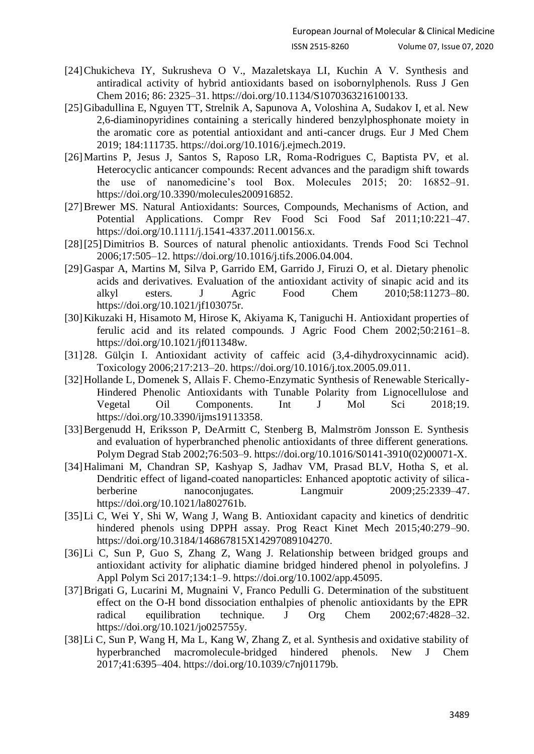- [24]Chukicheva IY, Sukrusheva O V., Mazaletskaya LI, Kuchin A V. Synthesis and antiradical activity of hybrid antioxidants based on isobornylphenols. Russ J Gen Chem 2016; 86: 2325–31. https://doi.org/10.1134/S1070363216100133.
- [25]Gibadullina E, Nguyen TT, Strelnik A, Sapunova A, Voloshina A, Sudakov I, et al. New 2,6-diaminopyridines containing a sterically hindered benzylphosphonate moiety in the aromatic core as potential antioxidant and anti-cancer drugs. Eur J Med Chem 2019; 184:111735. https://doi.org/10.1016/j.ejmech.2019.
- [26]Martins P, Jesus J, Santos S, Raposo LR, Roma-Rodrigues C, Baptista PV, et al. Heterocyclic anticancer compounds: Recent advances and the paradigm shift towards the use of nanomedicine's tool Box. Molecules 2015; 20: 16852–91. https://doi.org/10.3390/molecules200916852.
- [27]Brewer MS. Natural Antioxidants: Sources, Compounds, Mechanisms of Action, and Potential Applications. Compr Rev Food Sci Food Saf 2011;10:221–47. https://doi.org/10.1111/j.1541-4337.2011.00156.x.
- [28][25]Dimitrios B. Sources of natural phenolic antioxidants. Trends Food Sci Technol 2006;17:505–12. https://doi.org/10.1016/j.tifs.2006.04.004.
- [29]Gaspar A, Martins M, Silva P, Garrido EM, Garrido J, Firuzi O, et al. Dietary phenolic acids and derivatives. Evaluation of the antioxidant activity of sinapic acid and its alkyl esters. J Agric Food Chem 2010:58:11273-80. alkyl esters. J Agric Food Chem 2010;58:11273–80. https://doi.org/10.1021/jf103075r.
- [30]Kikuzaki H, Hisamoto M, Hirose K, Akiyama K, Taniguchi H. Antioxidant properties of ferulic acid and its related compounds. J Agric Food Chem 2002;50:2161–8. https://doi.org/10.1021/jf011348w.
- [31]28. Gülçin I. Antioxidant activity of caffeic acid (3,4-dihydroxycinnamic acid). Toxicology 2006;217:213–20. https://doi.org/10.1016/j.tox.2005.09.011.
- [32]Hollande L, Domenek S, Allais F. Chemo-Enzymatic Synthesis of Renewable Sterically-Hindered Phenolic Antioxidants with Tunable Polarity from Lignocellulose and Vegetal Oil Components. Int J Mol Sci 2018;19. https://doi.org/10.3390/ijms19113358.
- [33]Bergenudd H, Eriksson P, DeArmitt C, Stenberg B, Malmström Jonsson E. Synthesis and evaluation of hyperbranched phenolic antioxidants of three different generations. Polym Degrad Stab 2002;76:503–9. https://doi.org/10.1016/S0141-3910(02)00071-X.
- [34]Halimani M, Chandran SP, Kashyap S, Jadhav VM, Prasad BLV, Hotha S, et al. Dendritic effect of ligand-coated nanoparticles: Enhanced apoptotic activity of silicaberberine nanoconjugates. Langmuir 2009;25:2339–47. https://doi.org/10.1021/la802761b.
- [35]Li C, Wei Y, Shi W, Wang J, Wang B. Antioxidant capacity and kinetics of dendritic hindered phenols using DPPH assay. Prog React Kinet Mech 2015;40:279–90. https://doi.org/10.3184/146867815X14297089104270.
- [36]Li C, Sun P, Guo S, Zhang Z, Wang J. Relationship between bridged groups and antioxidant activity for aliphatic diamine bridged hindered phenol in polyolefins. J Appl Polym Sci 2017;134:1–9. https://doi.org/10.1002/app.45095.
- [37]Brigati G, Lucarini M, Mugnaini V, Franco Pedulli G. Determination of the substituent effect on the O-H bond dissociation enthalpies of phenolic antioxidants by the EPR radical equilibration technique. J Org Chem 2002;67:4828–32. https://doi.org/10.1021/jo025755y.
- [38]Li C, Sun P, Wang H, Ma L, Kang W, Zhang Z, et al. Synthesis and oxidative stability of hyperbranched macromolecule-bridged hindered phenols. New J Chem 2017;41:6395–404. https://doi.org/10.1039/c7nj01179b.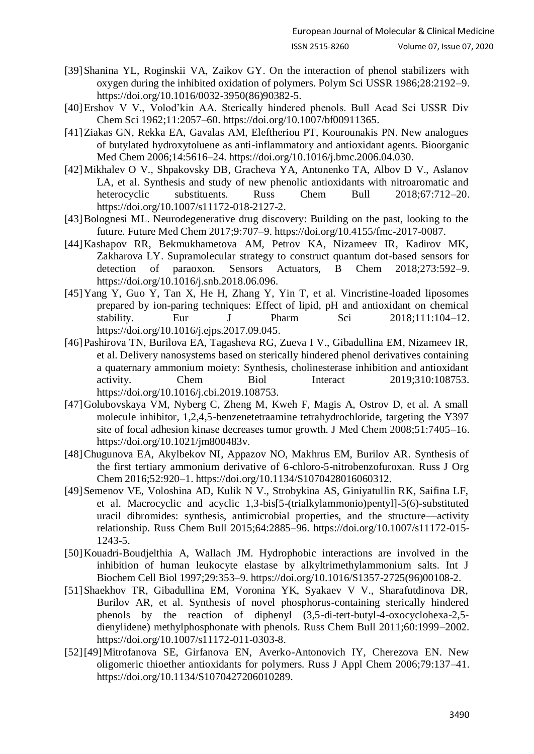- [39]Shanina YL, Roginskii VA, Zaikov GY. On the interaction of phenol stabilizers with oxygen during the inhibited oxidation of polymers. Polym Sci USSR 1986;28:2192–9. https://doi.org/10.1016/0032-3950(86)90382-5.
- [40]Ershov V V., Volod'kin AA. Sterically hindered phenols. Bull Acad Sci USSR Div Chem Sci 1962;11:2057–60. https://doi.org/10.1007/bf00911365.
- [41]Ziakas GN, Rekka EA, Gavalas AM, Eleftheriou PT, Kourounakis PN. New analogues of butylated hydroxytoluene as anti-inflammatory and antioxidant agents. Bioorganic Med Chem 2006;14:5616–24. https://doi.org/10.1016/j.bmc.2006.04.030.
- [42]Mikhalev O V., Shpakovsky DB, Gracheva YA, Antonenko TA, Albov D V., Aslanov LA, et al. Synthesis and study of new phenolic antioxidants with nitroaromatic and heterocyclic substituents. Russ Chem Bull 2018;67:712–20. https://doi.org/10.1007/s11172-018-2127-2.
- [43]Bolognesi ML. Neurodegenerative drug discovery: Building on the past, looking to the future. Future Med Chem 2017;9:707–9. https://doi.org/10.4155/fmc-2017-0087.
- [44]Kashapov RR, Bekmukhametova AM, Petrov KA, Nizameev IR, Kadirov MK, Zakharova LY. Supramolecular strategy to construct quantum dot-based sensors for detection of paraoxon. Sensors Actuators, B Chem 2018;273:592–9. https://doi.org/10.1016/j.snb.2018.06.096.
- [45]Yang Y, Guo Y, Tan X, He H, Zhang Y, Yin T, et al. Vincristine-loaded liposomes prepared by ion-paring techniques: Effect of lipid, pH and antioxidant on chemical stability. Eur J Pharm Sci  $2018;111:104-12$ . https://doi.org/10.1016/j.ejps.2017.09.045.
- [46]Pashirova TN, Burilova EA, Tagasheva RG, Zueva I V., Gibadullina EM, Nizameev IR, et al. Delivery nanosystems based on sterically hindered phenol derivatives containing a quaternary ammonium moiety: Synthesis, cholinesterase inhibition and antioxidant activity. Chem Biol Interact 2019;310:108753. https://doi.org/10.1016/j.cbi.2019.108753.
- [47]Golubovskaya VM, Nyberg C, Zheng M, Kweh F, Magis A, Ostrov D, et al. A small molecule inhibitor, 1,2,4,5-benzenetetraamine tetrahydrochloride, targeting the Y397 site of focal adhesion kinase decreases tumor growth. J Med Chem 2008;51:7405–16. https://doi.org/10.1021/jm800483v.
- [48]Chugunova EA, Akylbekov NI, Appazov NO, Makhrus EM, Burilov AR. Synthesis of the first tertiary ammonium derivative of 6-chloro-5-nitrobenzofuroxan. Russ J Org Chem 2016;52:920–1. https://doi.org/10.1134/S1070428016060312.
- [49]Semenov VE, Voloshina AD, Kulik N V., Strobykina AS, Giniyatullin RK, Saifina LF, et al. Macrocyclic and acyclic 1,3-bis[5-(trialkylammonio)pentyl]-5(6)-substituted uracil dibromides: synthesis, antimicrobial properties, and the structure—activity relationship. Russ Chem Bull 2015;64:2885–96. https://doi.org/10.1007/s11172-015- 1243-5.
- [50]Kouadri-Boudjelthia A, Wallach JM. Hydrophobic interactions are involved in the inhibition of human leukocyte elastase by alkyltrimethylammonium salts. Int J Biochem Cell Biol 1997;29:353–9. https://doi.org/10.1016/S1357-2725(96)00108-2.
- [51]Shaekhov TR, Gibadullina EM, Voronina YK, Syakaev V V., Sharafutdinova DR, Burilov AR, et al. Synthesis of novel phosphorus-containing sterically hindered phenols by the reaction of diphenyl (3,5-di-tert-butyl-4-oxocyclohexa-2,5 dienylidene) methylphosphonate with phenols. Russ Chem Bull 2011;60:1999–2002. https://doi.org/10.1007/s11172-011-0303-8.
- [52][49]Mitrofanova SE, Girfanova EN, Averko-Antonovich IY, Cherezova EN. New oligomeric thioether antioxidants for polymers. Russ J Appl Chem 2006;79:137–41. https://doi.org/10.1134/S1070427206010289.